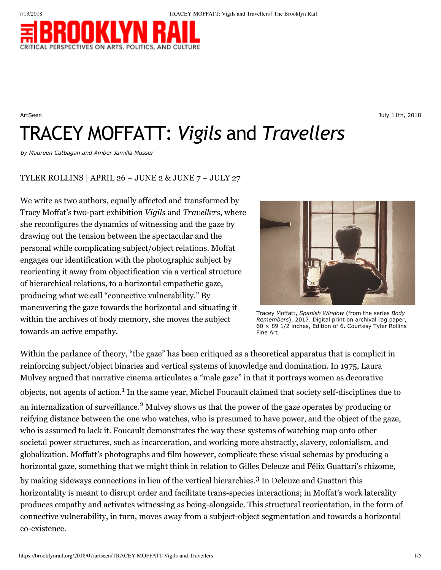

ArtSeen July 11th, 2018

TRACEY MOFFATT: *Vigils* and *Travellers*

*by [Maureen Catbagan](https://brooklynrail.org/contributor/Maureen-Catbagan) and [Amber Jamilla Musser](https://brooklynrail.org/contributor/Amber-Jamilla-Musser)*

# TYLER ROLLINS | APRIL 26 – JUNE 2 & JUNE 7 – JULY 27

We write as two authors, equally affected and transformed by Tracy Moffat's two-part exhibition *Vigils* and *Travellers*, where she reconfigures the dynamics of witnessing and the gaze by drawing out the tension between the spectacular and the personal while complicating subject/object relations. Moffat engages our identification with the photographic subject by reorienting it away from objectification via a vertical structure of hierarchical relations, to a horizontal empathetic gaze, producing what we call "connective vulnerability." By maneuvering the gaze towards the horizontal and situating it within the archives of body memory, she moves the subject towards an active empathy.



Tracey Moffatt, *Spanish Window* (from the series *Body Remembers*), 2017. Digital print on archival rag paper,  $60 \times 89$  1/2 inches, Edition of 6. Courtesy Tyler Rollins Fine Art.

Within the parlance of theory, "the gaze" has been critiqued as a theoretical apparatus that is complicit in reinforcing subject/object binaries and vertical systems of knowledge and domination. In 1975, Laura Mulvey argued that narrative cinema articulates a "male gaze" in that it portrays women as decorative objects, not agents of action.<sup>1</sup> In the same year, Michel Foucault claimed that society self-disciplines due to an internalization of surveillance.<sup>2</sup> Mulvey shows us that the power of the gaze operates by producing or reifying distance between the one who watches, who is presumed to have power, and the object of the gaze, who is assumed to lack it. Foucault demonstrates the way these systems of watching map onto other societal power structures, such as incarceration, and working more abstractly, slavery, colonialism, and globalization. Moffatt's photographs and film however, complicate these visual schemas by producing a horizontal gaze, something that we might think in relation to Gilles Deleuze and Félix Guattari's rhizome, by making sideways connections in lieu of the vertical hierarchies.<sup>3</sup> In Deleuze and Guattari this horizontality is meant to disrupt order and facilitate trans-species interactions; in Moffat's work laterality produces empathy and activates witnessing as being-alongside. This structural reorientation, in the form of connective vulnerability, in turn, moves away from a subject-object segmentation and towards a horizontal

co-existence.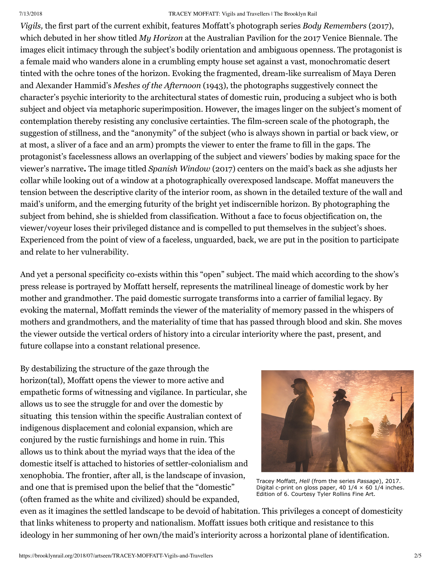### 7/13/2018 TRACEY MOFFATT: Vigils and Travellers | The Brooklyn Rail

*Vigils,* the first part of the current exhibit, features Moffatt's photograph series *Body Remembers* (2017), which debuted in her show titled *My Horizon* at the Australian Pavilion for the 2017 Venice Biennale. The images elicit intimacy through the subject's bodily orientation and ambiguous openness. The protagonist is a female maid who wanders alone in a crumbling empty house set against a vast, monochromatic desert tinted with the ochre tones of the horizon. Evoking the fragmented, dream-like surrealism of Maya Deren and Alexander Hammid's *Meshes of the Afternoon* (1943), the photographs suggestively connect the character's psychic interiority to the architectural states of domestic ruin, producing a subject who is both subject and object via metaphoric superimposition. However, the images linger on the subject's moment of contemplation thereby resisting any conclusive certainties. The film-screen scale of the photograph, the suggestion of stillness, and the "anonymity" of the subject (who is always shown in partial or back view, or at most, a sliver of a face and an arm) prompts the viewer to enter the frame to fill in the gaps. The protagonist's facelessness allows an overlapping of the subject and viewers' bodies by making space for the viewer's narrative**.** The image titled *Spanish Window* (2017) centers on the maid's back as she adjusts her collar while looking out of a window at a photographically overexposed landscape. Moffat maneuvers the tension between the descriptive clarity of the interior room, as shown in the detailed texture of the wall and maid's uniform, and the emerging futurity of the bright yet indiscernible horizon. By photographing the subject from behind, she is shielded from classification. Without a face to focus objectification on, the viewer/voyeur loses their privileged distance and is compelled to put themselves in the subject's shoes. Experienced from the point of view of a faceless, unguarded, back, we are put in the position to participate and relate to her vulnerability.

And yet a personal specificity co-exists within this "open" subject. The maid which according to the show's press release is portrayed by Moffatt herself, represents the matrilineal lineage of domestic work by her mother and grandmother. The paid domestic surrogate transforms into a carrier of familial legacy. By evoking the maternal, Moffatt reminds the viewer of the materiality of memory passed in the whispers of mothers and grandmothers, and the materiality of time that has passed through blood and skin. She moves the viewer outside the vertical orders of history into a circular interiority where the past, present, and future collapse into a constant relational presence.

By destabilizing the structure of the gaze through the horizon(tal), Moffatt opens the viewer to more active and empathetic forms of witnessing and vigilance. In particular, she allows us to see the struggle for and over the domestic by situating this tension within the specific Australian context of indigenous displacement and colonial expansion, which are conjured by the rustic furnishings and home in ruin. This allows us to think about the myriad ways that the idea of the domestic itself is attached to histories of settler-colonialism and xenophobia. The frontier, after all, is the landscape of invasion, and one that is premised upon the belief that the "domestic" (often framed as the white and civilized) should be expanded,



Tracey Moffatt, *Hell* (from the series *Passage*), 2017. Digital c-print on gloss paper, 40  $1/4 \times 60$  1/4 inches. Edition of 6. Courtesy Tyler Rollins Fine Art.

even as it imagines the settled landscape to be devoid of habitation. This privileges a concept of domesticity that links whiteness to property and nationalism. Moffatt issues both critique and resistance to this ideology in her summoning of her own/the maid's interiority across a horizontal plane of identification.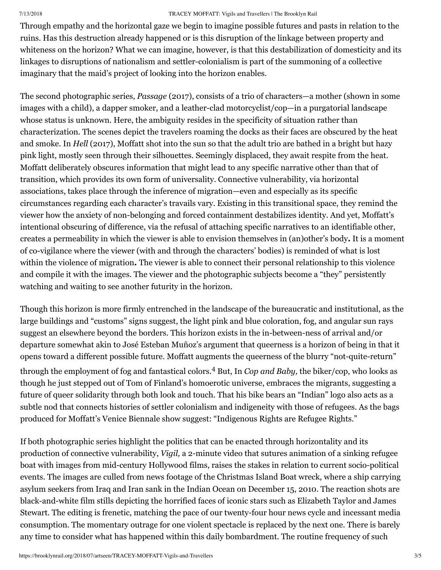### 7/13/2018 TRACEY MOFFATT: Vigils and Travellers | The Brooklyn Rail

Through empathy and the horizontal gaze we begin to imagine possible futures and pasts in relation to the ruins. Has this destruction already happened or is this disruption of the linkage between property and whiteness on the horizon? What we can imagine, however, is that this destabilization of domesticity and its linkages to disruptions of nationalism and settler-colonialism is part of the summoning of a collective imaginary that the maid's project of looking into the horizon enables.

The second photographic series, *Passage* (2017), consists of a trio of characters—a mother (shown in some images with a child), a dapper smoker, and a leather-clad motorcyclist/cop—in a purgatorial landscape whose status is unknown. Here, the ambiguity resides in the specificity of situation rather than characterization. The scenes depict the travelers roaming the docks as their faces are obscured by the heat and smoke. In *Hell* (2017), Moffatt shot into the sun so that the adult trio are bathed in a bright but hazy pink light, mostly seen through their silhouettes. Seemingly displaced, they await respite from the heat. Moffatt deliberately obscures information that might lead to any specific narrative other than that of transition, which provides its own form of universality. Connective vulnerability, via horizontal associations, takes place through the inference of migration—even and especially as its specific circumstances regarding each character's travails vary. Existing in this transitional space, they remind the viewer how the anxiety of non-belonging and forced containment destabilizes identity. And yet, Moffatt's intentional obscuring of difference, via the refusal of attaching specific narratives to an identifiable other, creates a permeability in which the viewer is able to envision themselves in (an)other's body**.** It is a moment of co-vigilance where the viewer (with and through the characters' bodies) is reminded of what is lost within the violence of migration**.** The viewer is able to connect their personal relationship to this violence and compile it with the images. The viewer and the photographic subjects become a "they" persistently watching and waiting to see another futurity in the horizon.

Though this horizon is more firmly entrenched in the landscape of the bureaucratic and institutional, as the large buildings and "customs" signs suggest, the light pink and blue coloration, fog, and angular sun rays suggest an elsewhere beyond the borders. This horizon exists in the in-between-ness of arrival and/or departure somewhat akin to José Esteban Muñoz's argument that queerness is a horizon of being in that it opens toward a different possible future. Moffatt augments the queerness of the blurry "not-quite-return" through the employment of fog and fantastical colors.<sup>4</sup> But, In *Cop and Baby,* the biker/cop, who looks as though he just stepped out of Tom of Finland's homoerotic universe, embraces the migrants, suggesting a future of queer solidarity through both look and touch. That his bike bears an "Indian" logo also acts as a subtle nod that connects histories of settler colonialism and indigeneity with those of refugees. As the bags produced for Moffatt's Venice Biennale show suggest: "Indigenous Rights are Refugee Rights."

If both photographic series highlight the politics that can be enacted through horizontality and its production of connective vulnerability, *Vigil,* a 2-minute video that sutures animation of a sinking refugee boat with images from mid-century Hollywood films, raises the stakes in relation to current socio-political events. The images are culled from news footage of the Christmas Island Boat wreck, where a ship carrying asylum seekers from Iraq and Iran sank in the Indian Ocean on December 15, 2010. The reaction shots are black-and-white film stills depicting the horrified faces of iconic stars such as Elizabeth Taylor and James Stewart. The editing is frenetic, matching the pace of our twenty-four hour news cycle and incessant media consumption. The momentary outrage for one violent spectacle is replaced by the next one. There is barely any time to consider what has happened within this daily bombardment. The routine frequency of such